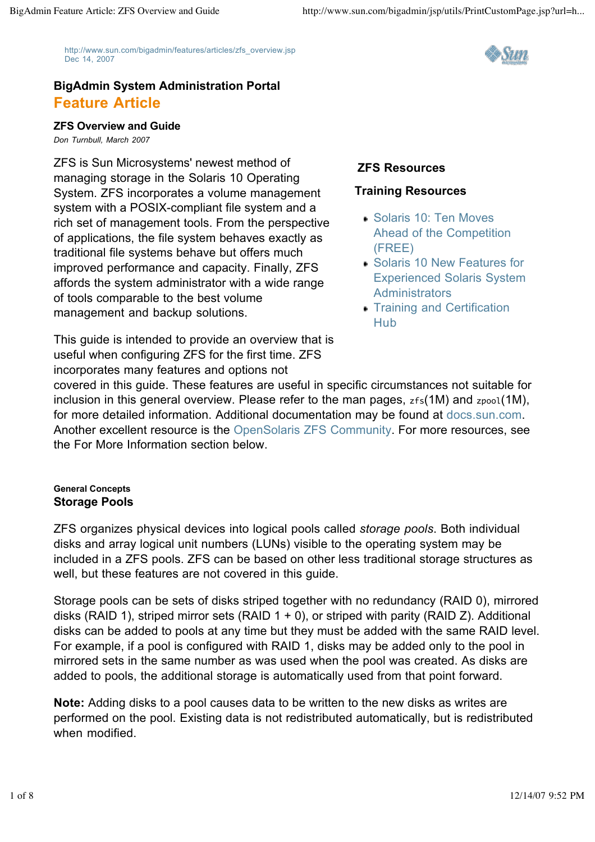http://www.sun.com/bigadmin/features/articles/zfs\_overview.jsp Dec 14, 2007



# **BigAdmin System Administration Portal Feature Article**

### **ZFS Overview and Guide**

*Don Turnbull, March 2007*

ZFS is Sun Microsystems' newest method of managing storage in the Solaris 10 Operating System. ZFS incorporates a volume management system with a POSIX-compliant file system and a rich set of management tools. From the perspective of applications, the file system behaves exactly as traditional file systems behave but offers much improved performance and capacity. Finally, ZFS affords the system administrator with a wide range of tools comparable to the best volume management and backup solutions.

This guide is intended to provide an overview that is useful when configuring ZFS for the first time. ZFS incorporates many features and options not

# **ZFS Resources**

# **Training Resources**

- Solaris 10: Ten Moves Ahead of the Competition (FREE)
- Solaris 10 New Features for Experienced Solaris System **Administrators**
- Training and Certification Hub

covered in this guide. These features are useful in specific circumstances not suitable for inclusion in this general overview. Please refer to the man pages,  $zfs(1M)$  and  $zpool(1M)$ , for more detailed information. Additional documentation may be found at docs.sun.com. Another excellent resource is the OpenSolaris ZFS Community. For more resources, see the For More Information section below.

### **General Concepts Storage Pools**

ZFS organizes physical devices into logical pools called *storage pools*. Both individual disks and array logical unit numbers (LUNs) visible to the operating system may be included in a ZFS pools. ZFS can be based on other less traditional storage structures as well, but these features are not covered in this guide.

Storage pools can be sets of disks striped together with no redundancy (RAID 0), mirrored disks (RAID 1), striped mirror sets (RAID  $1 + 0$ ), or striped with parity (RAID Z). Additional disks can be added to pools at any time but they must be added with the same RAID level. For example, if a pool is configured with RAID 1, disks may be added only to the pool in mirrored sets in the same number as was used when the pool was created. As disks are added to pools, the additional storage is automatically used from that point forward.

**Note:** Adding disks to a pool causes data to be written to the new disks as writes are performed on the pool. Existing data is not redistributed automatically, but is redistributed when modified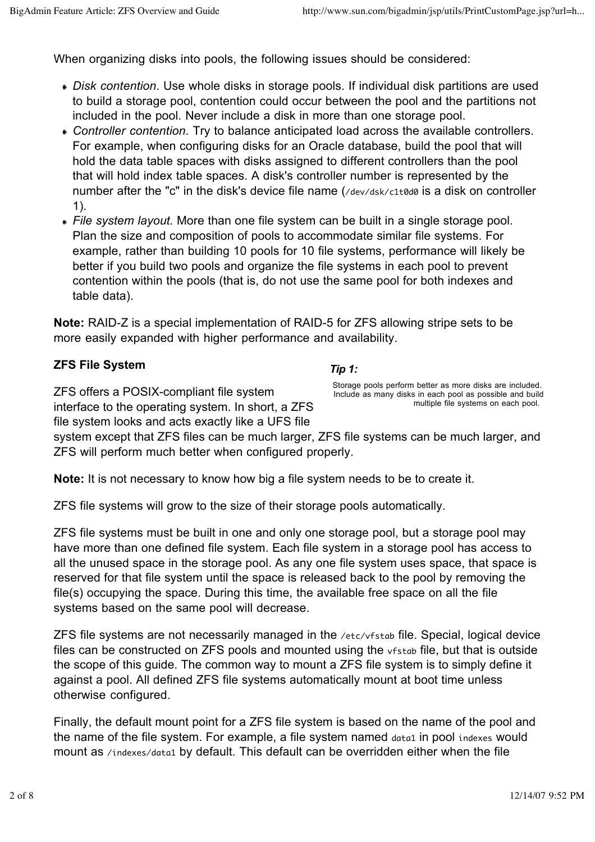When organizing disks into pools, the following issues should be considered:

- *Disk contention*. Use whole disks in storage pools. If individual disk partitions are used to build a storage pool, contention could occur between the pool and the partitions not included in the pool. Never include a disk in more than one storage pool.
- *Controller contention*. Try to balance anticipated load across the available controllers. For example, when configuring disks for an Oracle database, build the pool that will hold the data table spaces with disks assigned to different controllers than the pool that will hold index table spaces. A disk's controller number is represented by the number after the "c" in the disk's device file name (/dev/dsk/c1t0d0 is a disk on controller 1).
- *File system layout.* More than one file system can be built in a single storage pool. Plan the size and composition of pools to accommodate similar file systems. For example, rather than building 10 pools for 10 file systems, performance will likely be better if you build two pools and organize the file systems in each pool to prevent contention within the pools (that is, do not use the same pool for both indexes and table data).

**Note:** RAID-Z is a special implementation of RAID-5 for ZFS allowing stripe sets to be more easily expanded with higher performance and availability.

## **ZFS File System**

*Tip 1:*

ZFS offers a POSIX-compliant file system interface to the operating system. In short, a ZFS file system looks and acts exactly like a UFS file

Storage pools perform better as more disks are included. Include as many disks in each pool as possible and build multiple file systems on each pool.

system except that ZFS files can be much larger, ZFS file systems can be much larger, and ZFS will perform much better when configured properly.

**Note:** It is not necessary to know how big a file system needs to be to create it.

ZFS file systems will grow to the size of their storage pools automatically.

ZFS file systems must be built in one and only one storage pool, but a storage pool may have more than one defined file system. Each file system in a storage pool has access to all the unused space in the storage pool. As any one file system uses space, that space is reserved for that file system until the space is released back to the pool by removing the file(s) occupying the space. During this time, the available free space on all the file systems based on the same pool will decrease.

ZFS file systems are not necessarily managed in the /etc/vfstab file. Special, logical device files can be constructed on ZFS pools and mounted using the vfstab file, but that is outside the scope of this guide. The common way to mount a ZFS file system is to simply define it against a pool. All defined ZFS file systems automatically mount at boot time unless otherwise configured.

Finally, the default mount point for a ZFS file system is based on the name of the pool and the name of the file system. For example, a file system named data1 in pool indexes would mount as /indexes/data1 by default. This default can be overridden either when the file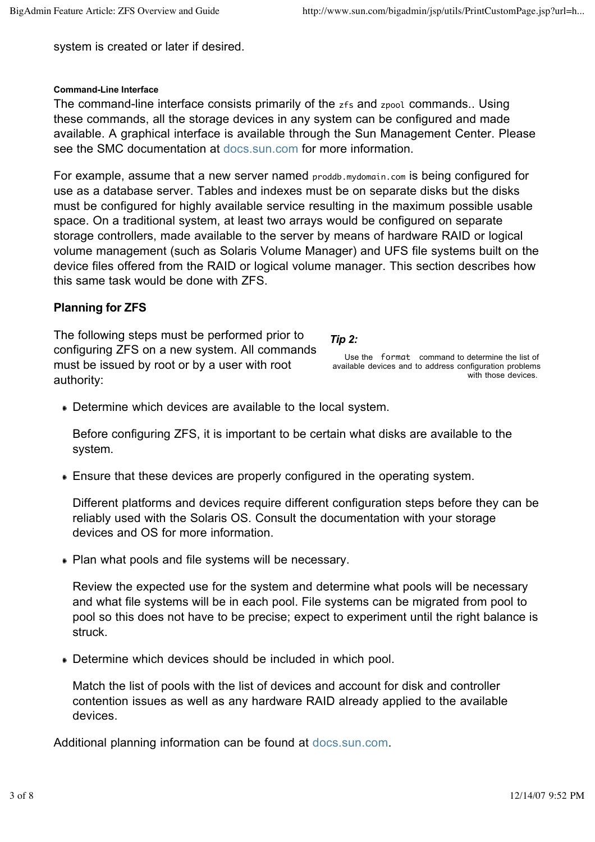system is created or later if desired.

### **Command-Line Interface**

The command-line interface consists primarily of the zfs and zpool commands.. Using these commands, all the storage devices in any system can be configured and made available. A graphical interface is available through the Sun Management Center. Please see the SMC documentation at docs.sun.com for more information.

For example, assume that a new server named proddb.mydomain.com is being configured for use as a database server. Tables and indexes must be on separate disks but the disks must be configured for highly available service resulting in the maximum possible usable space. On a traditional system, at least two arrays would be configured on separate storage controllers, made available to the server by means of hardware RAID or logical volume management (such as Solaris Volume Manager) and UFS file systems built on the device files offered from the RAID or logical volume manager. This section describes how this same task would be done with ZFS.

# **Planning for ZFS**

The following steps must be performed prior to configuring ZFS on a new system. All commands must be issued by root or by a user with root authority:

*Tip 2:*

Use the format command to determine the list of available devices and to address configuration problems with those devices.

Determine which devices are available to the local system.

Before configuring ZFS, it is important to be certain what disks are available to the system.

Ensure that these devices are properly configured in the operating system.

Different platforms and devices require different configuration steps before they can be reliably used with the Solaris OS. Consult the documentation with your storage devices and OS for more information.

Plan what pools and file systems will be necessary.

Review the expected use for the system and determine what pools will be necessary and what file systems will be in each pool. File systems can be migrated from pool to pool so this does not have to be precise; expect to experiment until the right balance is struck.

Determine which devices should be included in which pool.

Match the list of pools with the list of devices and account for disk and controller contention issues as well as any hardware RAID already applied to the available devices.

Additional planning information can be found at docs.sun.com.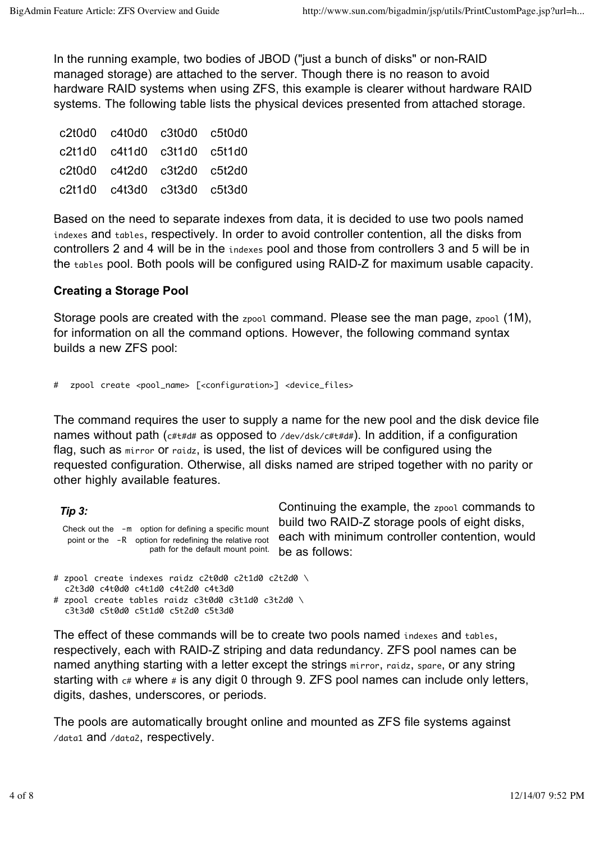In the running example, two bodies of JBOD ("just a bunch of disks" or non-RAID managed storage) are attached to the server. Though there is no reason to avoid hardware RAID systems when using ZFS, this example is clearer without hardware RAID systems. The following table lists the physical devices presented from attached storage.

| c2t0d0 c4t0d0 c3t0d0 c5t0d0 |  |
|-----------------------------|--|
| c2t1d0 c4t1d0 c3t1d0 c5t1d0 |  |
| c2t0d0 c4t2d0 c3t2d0 c5t2d0 |  |
| c2t1d0 c4t3d0 c3t3d0 c5t3d0 |  |

Based on the need to separate indexes from data, it is decided to use two pools named indexes and tables, respectively. In order to avoid controller contention, all the disks from controllers 2 and 4 will be in the indexes pool and those from controllers 3 and 5 will be in the tables pool. Both pools will be configured using RAID-Z for maximum usable capacity.

# **Creating a Storage Pool**

Storage pools are created with the zpool command. Please see the man page, zpool (1M), for information on all the command options. However, the following command syntax builds a new ZFS pool:

```
# zpool create <pool_name> [<configuration>] <device_files>
```
The command requires the user to supply a name for the new pool and the disk device file names without path ( $c#t#d#$  as opposed to /dev/dsk/ $c#t#d#$ ). In addition, if a configuration flag, such as mirror or raidz, is used, the list of devices will be configured using the requested configuration. Otherwise, all disks named are striped together with no parity or other highly available features.

*Tip 3:* Check out the -m option for defining a specific mount point or the -R option for redefining the relative root path for the default mount point.

Continuing the example, the zpool commands to build two RAID-Z storage pools of eight disks, each with minimum controller contention, would be as follows:

```
# zpool create indexes raidz c2t0d0 c2t1d0 c2t2d0 \
  c2t3d0 c4t0d0 c4t1d0 c4t2d0 c4t3d0
# zpool create tables raidz c3t0d0 c3t1d0 c3t2d0 \
  c3t3d0 c5t0d0 c5t1d0 c5t2d0 c5t3d0
```
The effect of these commands will be to create two pools named indexes and tables, respectively, each with RAID-Z striping and data redundancy. ZFS pool names can be named anything starting with a letter except the strings mirror, raidz, spare, or any string starting with  $c$  where  $\neq$  is any digit 0 through 9. ZFS pool names can include only letters, digits, dashes, underscores, or periods.

The pools are automatically brought online and mounted as ZFS file systems against /data1 and /data2, respectively.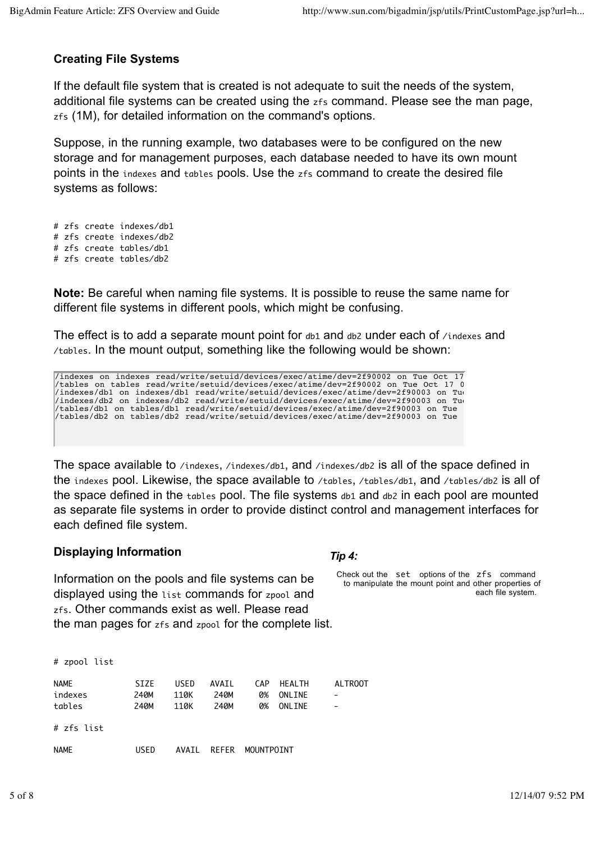# **Creating File Systems**

If the default file system that is created is not adequate to suit the needs of the system, additional file systems can be created using the zfs command. Please see the man page, zfs (1M), for detailed information on the command's options.

Suppose, in the running example, two databases were to be configured on the new storage and for management purposes, each database needed to have its own mount points in the indexes and tables pools. Use the zfs command to create the desired file systems as follows:

# zfs create indexes/db1 # zfs create indexes/db2 # zfs create tables/db1 # zfs create tables/db2

**Note:** Be careful when naming file systems. It is possible to reuse the same name for different file systems in different pools, which might be confusing.

The effect is to add a separate mount point for  $db1$  and  $db2$  under each of  $/$ indexes and /tables. In the mount output, something like the following would be shown:

/indexes on indexes read/write/setuid/devices/exec/atime/dev=2f90002 on Tue Oct 17 /tables on tables read/write/setuid/devices/exec/atime/dev=2f90002 on Tue Oct 17 09:37:39 2006  $/$ indexes/db1 on indexes/db1 read/write/setuid/devices/exec/atime/dev=2f90003 on Tue /indexes/db2 on indexes/db2 read/write/setuid/devices/exec/atime/dev=2f90003 on Tue /tables/db1 on tables/db1 read/write/setuid/devices/exec/atime/dev=2f90003 on Tue /tables/db2 on tables/db2 read/write/setuid/devices/exec/atime/dev=2f90003 on Tue

The space available to /indexes, /indexes/db1, and /indexes/db2 is all of the space defined in the indexes pool. Likewise, the space available to /tables, /tables/db1, and /tables/db2 is all of the space defined in the tables pool. The file systems  $db1$  and  $db2$  in each pool are mounted as separate file systems in order to provide distinct control and management interfaces for each defined file system.

### **Displaying Information**

Information on the pools and file systems can be displayed using the list commands for zpool and zfs. Other commands exist as well. Please read the man pages for zfs and zpool for the complete list.

| # zpool list                     |                             |                      |                       |                        |                                           |                                            |
|----------------------------------|-----------------------------|----------------------|-----------------------|------------------------|-------------------------------------------|--------------------------------------------|
| <b>NAME</b><br>indexes<br>tables | <b>SIZE</b><br>240M<br>240M | USED<br>110K<br>110K | AVAIL<br>240M<br>240M | <b>CAP</b><br>0%<br>0% | <b>HFAI TH</b><br>ONLINE<br><b>ONLINE</b> | <b>ALTROOT</b><br>$\overline{\phantom{0}}$ |
| # zfs list                       |                             |                      |                       |                        |                                           |                                            |
| <b>NAME</b>                      | USED                        | <b>AVAIL</b>         | <b>REFER</b>          | MOUNTPOINT             |                                           |                                            |

### *Tip 4:*

Check out the set options of the zfs command to manipulate the mount point and other properties of each file system.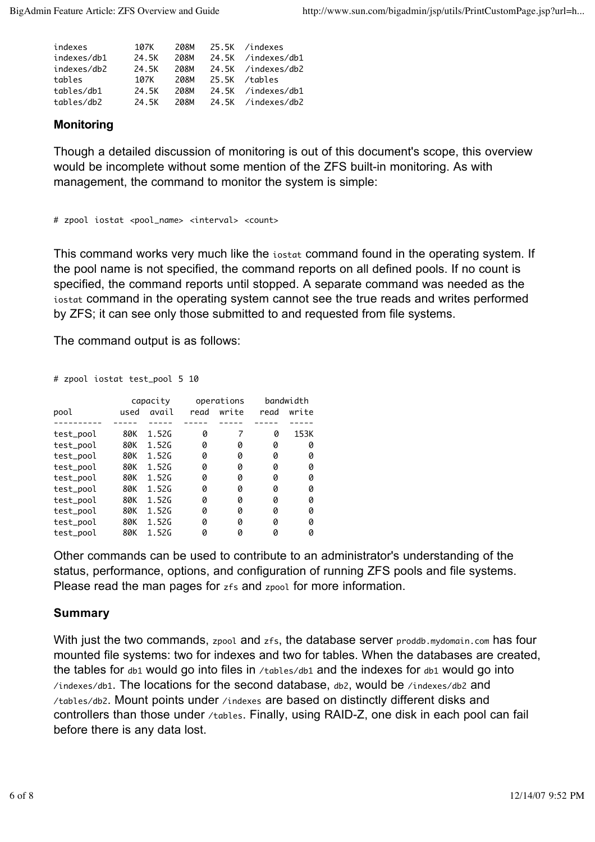| indexes     | 107K  | 208M  | 25.5K /indexes     |
|-------------|-------|-------|--------------------|
| indexes/db1 | 24.5K | 208M  | 24.5K /indexes/db1 |
| indexes/db2 | 24.5K | 208M  | 24.5K /indexes/db2 |
| tables      | 107K  | 208M  | 25.5K /tables      |
| tables/db1  | 24.5K | 208M  | 24.5K /indexes/db1 |
| tables/db2  | 24.5K | 20.8M | 24.5K /indexes/db2 |
|             |       |       |                    |

# **Monitoring**

Though a detailed discussion of monitoring is out of this document's scope, this overview would be incomplete without some mention of the ZFS built-in monitoring. As with management, the command to monitor the system is simple:

```
# zpool iostat <pool_name> <interval> <count>
```
This command works very much like the iostat command found in the operating system. If the pool name is not specified, the command reports on all defined pools. If no count is specified, the command reports until stopped. A separate command was needed as the iostat command in the operating system cannot see the true reads and writes performed by ZFS; it can see only those submitted to and requested from file systems.

The command output is as follows:

# zpool iostat test\_pool 5 10

|           |      | capacity |      | operations |      | bandwidth |  |
|-----------|------|----------|------|------------|------|-----------|--|
| pool      | used | avail    | read | write      | read | write     |  |
|           |      |          |      |            |      |           |  |
| test_pool | 80K  | 1.52G    | 0    | 7          | 0    | 153K      |  |
| test_pool | 80K  | 1.52G    | 0    | 0          | 0    | 0         |  |
| test_pool | 80K  | 1.52G    | 0    | 0          | 0    | 0         |  |
| test_pool | 80K  | 1.52G    | 0    | 0          | 0    | 0         |  |
| test_pool | 80K  | 1.52G    | 0    | 0          | 0    | 0         |  |
| test_pool | 80K  | 1.52G    | 0    | 0          | 0    | 0         |  |
| test_pool | 80K  | 1.52G    | 0    | 0          | 0    | 0         |  |
| test_pool | 80K  | 1.52G    | 0    | 0          | 0    | 0         |  |
| test_pool | 80K  | 1.52G    | 0    | 0          | 0    | 0         |  |
| test_pool | 80K  | 1.52G    | 0    | 0          | 0    | 0         |  |

Other commands can be used to contribute to an administrator's understanding of the status, performance, options, and configuration of running ZFS pools and file systems. Please read the man pages for zfs and zpool for more information.

# **Summary**

With just the two commands, zpool and zfs, the database server proddb.mydomain.com has four mounted file systems: two for indexes and two for tables. When the databases are created, the tables for db1 would go into files in /tables/db1 and the indexes for db1 would go into /indexes/db1. The locations for the second database, db2, would be /indexes/db2 and /tables/db2. Mount points under /indexes are based on distinctly different disks and controllers than those under /tables. Finally, using RAID-Z, one disk in each pool can fail before there is any data lost.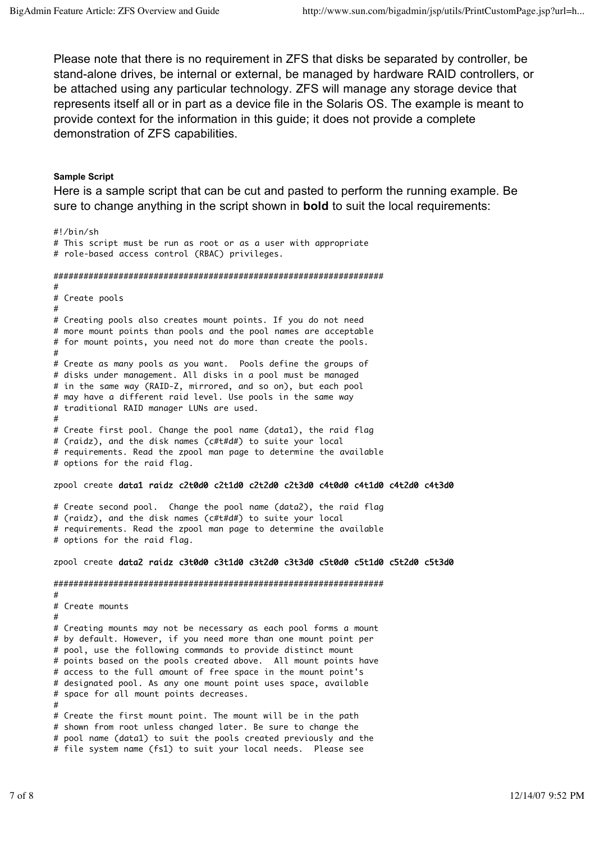Please note that there is no requirement in ZFS that disks be separated by controller, be stand-alone drives, be internal or external, be managed by hardware RAID controllers, or be attached using any particular technology. ZFS will manage any storage device that represents itself all or in part as a device file in the Solaris OS. The example is meant to provide context for the information in this guide; it does not provide a complete demonstration of ZFS capabilities.

#### **Sample Script**

Here is a sample script that can be cut and pasted to perform the running example. Be sure to change anything in the script shown in **bold** to suit the local requirements:

#!/bin/sh # This script must be run as root or as a user with appropriate # role-based access control (RBAC) privileges. ################################################################## # # Create pools # # Creating pools also creates mount points. If you do not need # more mount points than pools and the pool names are acceptable # for mount points, you need not do more than create the pools. # # Create as many pools as you want. Pools define the groups of # disks under management. All disks in a pool must be managed # in the same way (RAID-Z, mirrored, and so on), but each pool # may have a different raid level. Use pools in the same way # traditional RAID manager LUNs are used. # # Create first pool. Change the pool name (data1), the raid flag # (raidz), and the disk names (c#t#d#) to suite your local # requirements. Read the zpool man page to determine the available # options for the raid flag. zpool create data1 raidz c2t0d0 c2t1d0 c2t2d0 c2t3d0 c4t0d0 c4t1d0 c4t2d0 c4t3d0 # Create second pool. Change the pool name (data2), the raid flag # (raidz), and the disk names (c#t#d#) to suite your local # requirements. Read the zpool man page to determine the available # options for the raid flag. zpool create data2 raidz c3t0d0 c3t1d0 c3t2d0 c3t3d0 c5t0d0 c5t1d0 c5t2d0 c5t3d0 ################################################################## # # Create mounts # # Creating mounts may not be necessary as each pool forms a mount # by default. However, if you need more than one mount point per # pool, use the following commands to provide distinct mount # points based on the pools created above. All mount points have # access to the full amount of free space in the mount point's # designated pool. As any one mount point uses space, available # space for all mount points decreases. # # Create the first mount point. The mount will be in the path # shown from root unless changed later. Be sure to change the # pool name (data1) to suit the pools created previously and the # file system name (fs1) to suit your local needs. Please see